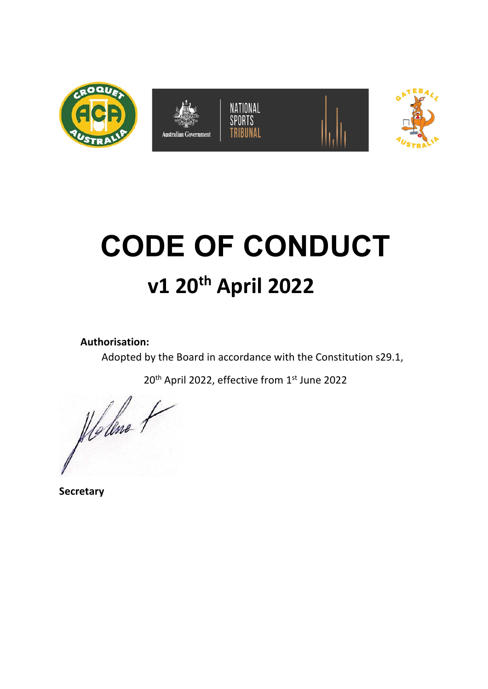









# **CODE OF CONDUCT v1 20th April 2022**

**Authorisation:** 

Adopted by the Board in accordance with the Constitution s29.1,

20<sup>th</sup> April 2022, effective from 1<sup>st</sup> June 2022

Holene 1

**Secretary**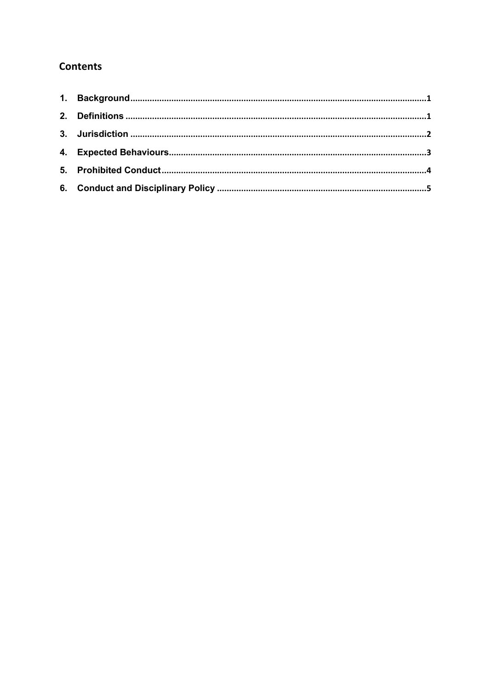## **Contents**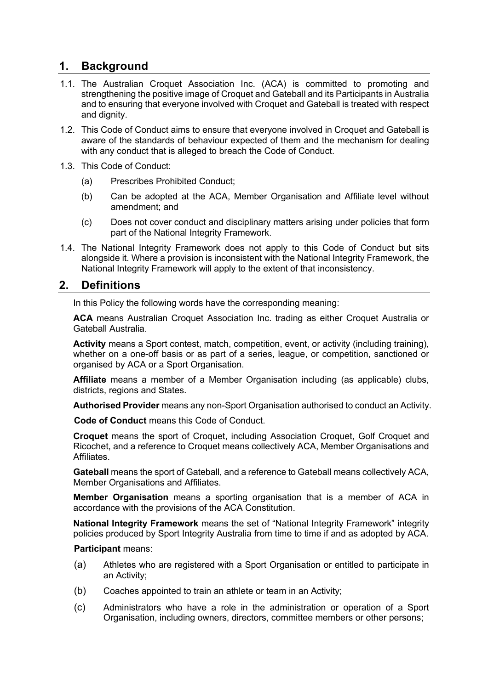## **1. Background**

- 1.1. The Australian Croquet Association Inc. (ACA) is committed to promoting and strengthening the positive image of Croquet and Gateball and its Participants in Australia and to ensuring that everyone involved with Croquet and Gateball is treated with respect and dignity.
- 1.2. This Code of Conduct aims to ensure that everyone involved in Croquet and Gateball is aware of the standards of behaviour expected of them and the mechanism for dealing with any conduct that is alleged to breach the Code of Conduct.
- 1.3. This Code of Conduct:
	- (a) Prescribes Prohibited Conduct;
	- (b) Can be adopted at the ACA, Member Organisation and Affiliate level without amendment; and
	- (c) Does not cover conduct and disciplinary matters arising under policies that form part of the National Integrity Framework.
- 1.4. The National Integrity Framework does not apply to this Code of Conduct but sits alongside it. Where a provision is inconsistent with the National Integrity Framework, the National Integrity Framework will apply to the extent of that inconsistency.

## **2. Definitions**

In this Policy the following words have the corresponding meaning:

**ACA** means Australian Croquet Association Inc. trading as either Croquet Australia or Gateball Australia.

**Activity** means a Sport contest, match, competition, event, or activity (including training), whether on a one-off basis or as part of a series, league, or competition, sanctioned or organised by ACA or a Sport Organisation.

**Affiliate** means a member of a Member Organisation including (as applicable) clubs, districts, regions and States.

**Authorised Provider** means any non-Sport Organisation authorised to conduct an Activity.

**Code of Conduct** means this Code of Conduct.

**Croquet** means the sport of Croquet, including Association Croquet, Golf Croquet and Ricochet, and a reference to Croquet means collectively ACA, Member Organisations and Affiliates.

**Gateball** means the sport of Gateball, and a reference to Gateball means collectively ACA, Member Organisations and Affiliates.

**Member Organisation** means a sporting organisation that is a member of ACA in accordance with the provisions of the ACA Constitution.

**National Integrity Framework** means the set of "National Integrity Framework" integrity policies produced by Sport Integrity Australia from time to time if and as adopted by ACA.

#### **Participant** means:

- (a) Athletes who are registered with a Sport Organisation or entitled to participate in an Activity;
- (b) Coaches appointed to train an athlete or team in an Activity;
- (c) Administrators who have a role in the administration or operation of a Sport Organisation, including owners, directors, committee members or other persons;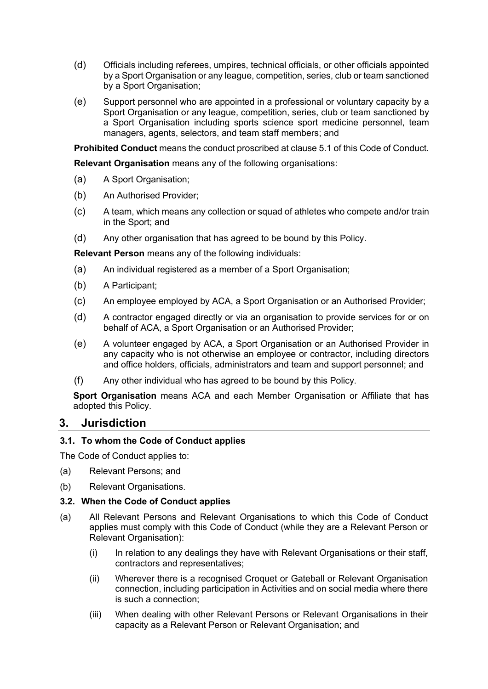- (d) Officials including referees, umpires, technical officials, or other officials appointed by a Sport Organisation or any league, competition, series, club or team sanctioned by a Sport Organisation;
- (e) Support personnel who are appointed in a professional or voluntary capacity by a Sport Organisation or any league, competition, series, club or team sanctioned by a Sport Organisation including sports science sport medicine personnel, team managers, agents, selectors, and team staff members; and

**Prohibited Conduct** means the conduct proscribed at clause 5.1 of this Code of Conduct.

**Relevant Organisation** means any of the following organisations:

- (a) A Sport Organisation;
- (b) An Authorised Provider;
- (c) A team, which means any collection or squad of athletes who compete and/or train in the Sport; and
- (d) Any other organisation that has agreed to be bound by this Policy.

**Relevant Person** means any of the following individuals:

- (a) An individual registered as a member of a Sport Organisation;
- (b) A Participant;
- (c) An employee employed by ACA, a Sport Organisation or an Authorised Provider;
- (d) A contractor engaged directly or via an organisation to provide services for or on behalf of ACA, a Sport Organisation or an Authorised Provider;
- (e) A volunteer engaged by ACA, a Sport Organisation or an Authorised Provider in any capacity who is not otherwise an employee or contractor, including directors and office holders, officials, administrators and team and support personnel; and
- (f) Any other individual who has agreed to be bound by this Policy.

**Sport Organisation** means ACA and each Member Organisation or Affiliate that has adopted this Policy.

#### **3. Jurisdiction**

#### **3.1. To whom the Code of Conduct applies**

The Code of Conduct applies to:

- (a) Relevant Persons; and
- (b) Relevant Organisations.

#### **3.2. When the Code of Conduct applies**

- (a) All Relevant Persons and Relevant Organisations to which this Code of Conduct applies must comply with this Code of Conduct (while they are a Relevant Person or Relevant Organisation):
	- (i) In relation to any dealings they have with Relevant Organisations or their staff, contractors and representatives;
	- (ii) Wherever there is a recognised Croquet or Gateball or Relevant Organisation connection, including participation in Activities and on social media where there is such a connection;
	- (iii) When dealing with other Relevant Persons or Relevant Organisations in their capacity as a Relevant Person or Relevant Organisation; and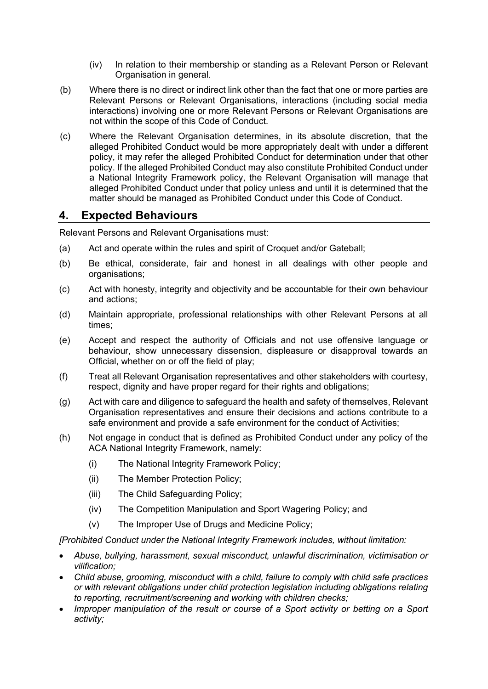- (iv) In relation to their membership or standing as a Relevant Person or Relevant Organisation in general.
- (b) Where there is no direct or indirect link other than the fact that one or more parties are Relevant Persons or Relevant Organisations, interactions (including social media interactions) involving one or more Relevant Persons or Relevant Organisations are not within the scope of this Code of Conduct.
- (c) Where the Relevant Organisation determines, in its absolute discretion, that the alleged Prohibited Conduct would be more appropriately dealt with under a different policy, it may refer the alleged Prohibited Conduct for determination under that other policy. If the alleged Prohibited Conduct may also constitute Prohibited Conduct under a National Integrity Framework policy, the Relevant Organisation will manage that alleged Prohibited Conduct under that policy unless and until it is determined that the matter should be managed as Prohibited Conduct under this Code of Conduct.

## **4. Expected Behaviours**

Relevant Persons and Relevant Organisations must:

- (a) Act and operate within the rules and spirit of Croquet and/or Gateball;
- (b) Be ethical, considerate, fair and honest in all dealings with other people and organisations;
- (c) Act with honesty, integrity and objectivity and be accountable for their own behaviour and actions;
- (d) Maintain appropriate, professional relationships with other Relevant Persons at all times;
- (e) Accept and respect the authority of Officials and not use offensive language or behaviour, show unnecessary dissension, displeasure or disapproval towards an Official, whether on or off the field of play;
- (f) Treat all Relevant Organisation representatives and other stakeholders with courtesy, respect, dignity and have proper regard for their rights and obligations;
- (g) Act with care and diligence to safeguard the health and safety of themselves, Relevant Organisation representatives and ensure their decisions and actions contribute to a safe environment and provide a safe environment for the conduct of Activities;
- (h) Not engage in conduct that is defined as Prohibited Conduct under any policy of the ACA National Integrity Framework, namely:
	- (i) The National Integrity Framework Policy;
	- (ii) The Member Protection Policy;
	- (iii) The Child Safeguarding Policy;
	- (iv) The Competition Manipulation and Sport Wagering Policy; and
	- (v) The Improper Use of Drugs and Medicine Policy;

*[Prohibited Conduct under the National Integrity Framework includes, without limitation:*

- *Abuse, bullying, harassment, sexual misconduct, unlawful discrimination, victimisation or vilification;*
- *Child abuse, grooming, misconduct with a child, failure to comply with child safe practices or with relevant obligations under child protection legislation including obligations relating to reporting, recruitment/screening and working with children checks;*
- *Improper manipulation of the result or course of a Sport activity or betting on a Sport activity;*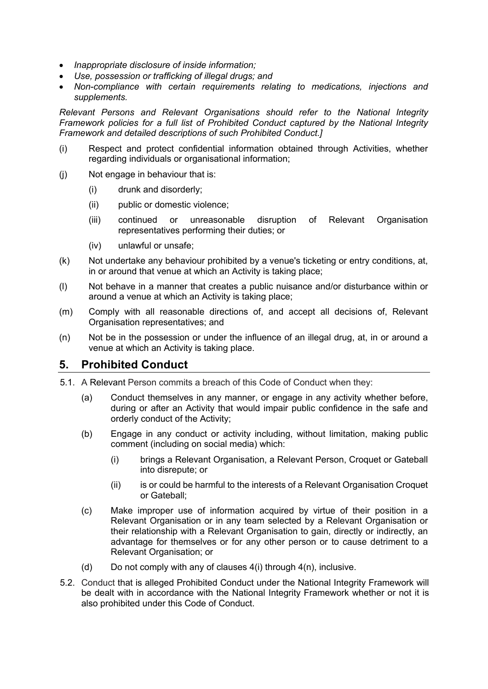- *Inappropriate disclosure of inside information;*
- *Use, possession or trafficking of illegal drugs; and*
- *Non-compliance with certain requirements relating to medications, injections and supplements.*

*Relevant Persons and Relevant Organisations should refer to the National Integrity Framework policies for a full list of Prohibited Conduct captured by the National Integrity Framework and detailed descriptions of such Prohibited Conduct.]*

- (i) Respect and protect confidential information obtained through Activities, whether regarding individuals or organisational information;
- (j) Not engage in behaviour that is:
	- (i) drunk and disorderly;
	- (ii) public or domestic violence;
	- (iii) continued or unreasonable disruption of Relevant Organisation representatives performing their duties; or
	- (iv) unlawful or unsafe;
- (k) Not undertake any behaviour prohibited by a venue's ticketing or entry conditions, at, in or around that venue at which an Activity is taking place;
- (l) Not behave in a manner that creates a public nuisance and/or disturbance within or around a venue at which an Activity is taking place;
- (m) Comply with all reasonable directions of, and accept all decisions of, Relevant Organisation representatives; and
- (n) Not be in the possession or under the influence of an illegal drug, at, in or around a venue at which an Activity is taking place.

## **5. Prohibited Conduct**

- 5.1. A Relevant Person commits a breach of this Code of Conduct when they:
	- (a) Conduct themselves in any manner, or engage in any activity whether before, during or after an Activity that would impair public confidence in the safe and orderly conduct of the Activity;
	- (b) Engage in any conduct or activity including, without limitation, making public comment (including on social media) which:
		- (i) brings a Relevant Organisation, a Relevant Person, Croquet or Gateball into disrepute; or
		- (ii) is or could be harmful to the interests of a Relevant Organisation Croquet or Gateball;
	- (c) Make improper use of information acquired by virtue of their position in a Relevant Organisation or in any team selected by a Relevant Organisation or their relationship with a Relevant Organisation to gain, directly or indirectly, an advantage for themselves or for any other person or to cause detriment to a Relevant Organisation; or
	- (d) Do not comply with any of clauses  $4(i)$  through  $4(n)$ , inclusive.
- 5.2. Conduct that is alleged Prohibited Conduct under the National Integrity Framework will be dealt with in accordance with the National Integrity Framework whether or not it is also prohibited under this Code of Conduct.